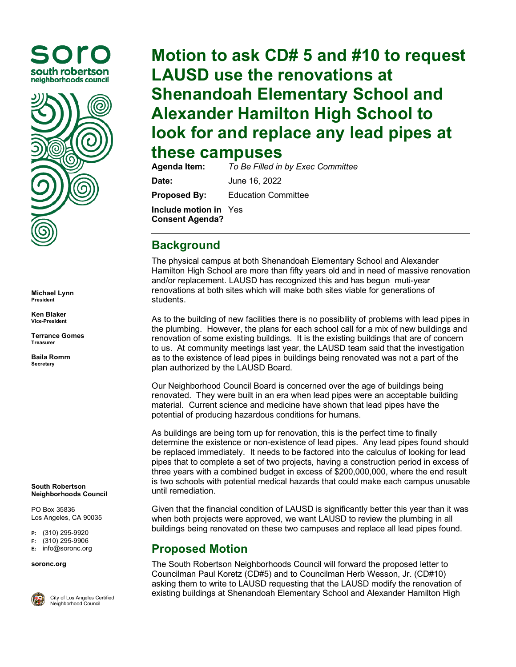



**Michael Lynn President**

**Ken Blaker Vice-President**

**Terrance Gomes Treasurer**

**Baila Romm Secretary**

**South Robertson Neighborhoods Council**

PO Box 35836 Los Angeles, CA 90035

**P:** (310) 295-9920

**F:** (310) 295-9906

**E:** [info@soronc.org](mailto:info@soronc.org)

**soronc.org**



City of Los Angeles Certified Neighborhood Council

## **Motion to ask CD# 5 and #10 to request LAUSD use the renovations at Shenandoah Elementary School and Alexander Hamilton High School to look for and replace any lead pipes at these campuses**<br>Agenda Item: To Be Filled in

**Agenda Item:** *To Be Filled in by Exec Committee* **Date:** June 16, 2022 **Proposed By:** Education Committee **Include motion in**  Yes**Consent Agenda?**

## **Background**

The physical campus at both Shenandoah Elementary School and Alexander Hamilton High School are more than fifty years old and in need of massive renovation and/or replacement. LAUSD has recognized this and has begun muti-year renovations at both sites which will make both sites viable for generations of students.

As to the building of new facilities there is no possibility of problems with lead pipes in the plumbing. However, the plans for each school call for a mix of new buildings and renovation of some existing buildings. It is the existing buildings that are of concern to us. At community meetings last year, the LAUSD team said that the investigation as to the existence of lead pipes in buildings being renovated was not a part of the plan authorized by the LAUSD Board.

Our Neighborhood Council Board is concerned over the age of buildings being renovated. They were built in an era when lead pipes were an acceptable building material. Current science and medicine have shown that lead pipes have the potential of producing hazardous conditions for humans.

As buildings are being torn up for renovation, this is the perfect time to finally determine the existence or non-existence of lead pipes. Any lead pipes found should be replaced immediately. It needs to be factored into the calculus of looking for lead pipes that to complete a set of two projects, having a construction period in excess of three years with a combined budget in excess of \$200,000,000, where the end result is two schools with potential medical hazards that could make each campus unusable until remediation.

Given that the financial condition of LAUSD is significantly better this year than it was when both projects were approved, we want LAUSD to review the plumbing in all buildings being renovated on these two campuses and replace all lead pipes found.

## **Proposed Motion**

The South Robertson Neighborhoods Council will forward the proposed letter to Councilman Paul Koretz (CD#5) and to Councilman Herb Wesson, Jr. (CD#10) asking them to write to LAUSD requesting that the LAUSD modify the renovation of existing buildings at Shenandoah Elementary School and Alexander Hamilton High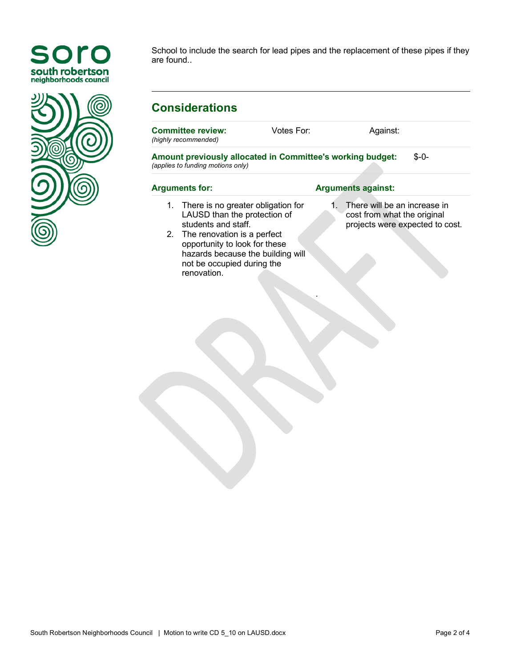



School to include the search for lead pipes and the replacement of these pipes if they are found..

Votes For: Against:

## **Considerations**

**Committee review:**

*(highly recommended)* **Amount previously allocated in Committee's working budget:** *(applies to funding motions only)* \$-0- **Arguments for: Arguments against:** 1. There is no greater obligation for LAUSD than the protection of students and staff. 2. The renovation is a perfect opportunity to look for these hazards because the building will not be occupied during the renovation. 1. There will be an increase in cost from what the original projects were expected to cost. .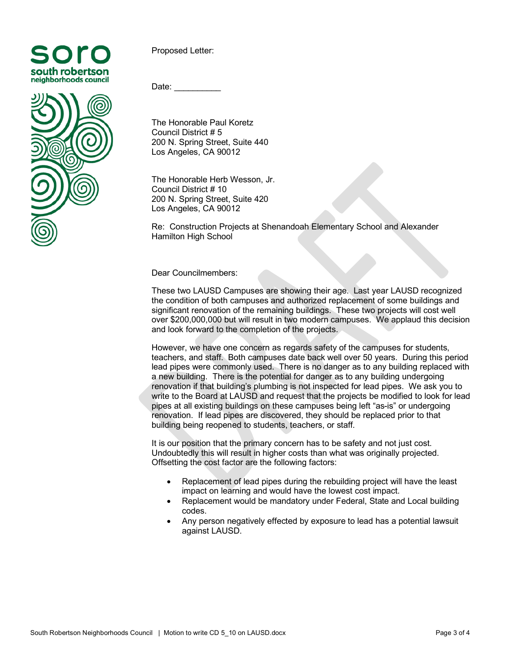



Proposed Letter:

Date:

The Honorable Paul Koretz Council District # 5 200 N. Spring Street, Suite 440 Los Angeles, CA 90012

The Honorable Herb Wesson, Jr. Council District # 10 200 N. Spring Street, Suite 420 Los Angeles, CA 90012

Re: Construction Projects at Shenandoah Elementary School and Alexander Hamilton High School

Dear Councilmembers:

These two LAUSD Campuses are showing their age. Last year LAUSD recognized the condition of both campuses and authorized replacement of some buildings and significant renovation of the remaining buildings. These two projects will cost well over \$200,000,000 but will result in two modern campuses. We applaud this decision and look forward to the completion of the projects.

However, we have one concern as regards safety of the campuses for students, teachers, and staff. Both campuses date back well over 50 years. During this period lead pipes were commonly used. There is no danger as to any building replaced with a new building. There is the potential for danger as to any building undergoing renovation if that building's plumbing is not inspected for lead pipes. We ask you to write to the Board at LAUSD and request that the projects be modified to look for lead pipes at all existing buildings on these campuses being left "as-is" or undergoing renovation. If lead pipes are discovered, they should be replaced prior to that building being reopened to students, teachers, or staff.

It is our position that the primary concern has to be safety and not just cost. Undoubtedly this will result in higher costs than what was originally projected. Offsetting the cost factor are the following factors:

- Replacement of lead pipes during the rebuilding project will have the least impact on learning and would have the lowest cost impact.
- Replacement would be mandatory under Federal, State and Local building codes.
- Any person negatively effected by exposure to lead has a potential lawsuit against LAUSD.